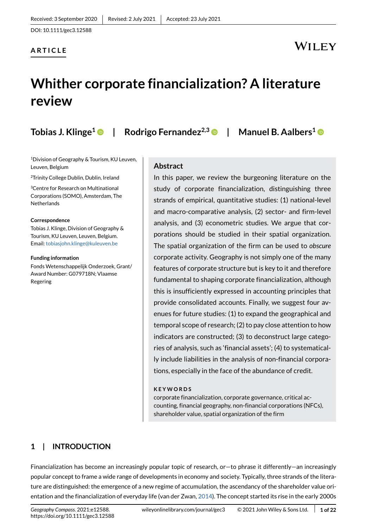DOI: 10.1111/gec3.12588

#### **ARTICLE**

### WILEY

## **Whither corporate financialization? A literature review**

**Tobias J. Klinge[1](https://orcid.org/0000-0001-9845-8658) | Rodrigo Fernandez2,3 | Manuel B. Aalbers[1](https://orcid.org/0000-0001-6640-0988)**

1Division of Geography & Tourism, KU Leuven, Leuven, Belgium

2Trinity College Dublin, Dublin, Ireland

3Centre for Research on Multinational Corporations (SOMO), Amsterdam, The **Netherlands** 

#### **Correspondence**

Tobias J. Klinge, Division of Geography & Tourism, KU Leuven, Leuven, Belgium. Email: tobiasjohn.klinge@kuleuven.be

#### **Funding information**

Fonds Wetenschappelijk Onderzoek, Grant/ Award Number: G079718N; Vlaamse Regering

#### **Abstract**

In this paper, we review the burgeoning literature on the study of corporate financialization, distinguishing three strands of empirical, quantitative studies: (1) national-level and macro-comparative analysis, (2) sector- and firm-level analysis, and (3) econometric studies. We argue that corporations should be studied in their spatial organization. The spatial organization of the firm can be used to *obscure* corporate activity. Geography is not simply one of the many features of corporate structure but is key to it and therefore fundamental to shaping corporate financialization, although this is insufficiently expressed in accounting principles that provide consolidated accounts. Finally, we suggest four avenues for future studies: (1) to expand the geographical and temporal scope of research; (2) to pay close attention to how indicators are constructed; (3) to deconstruct large categories of analysis, such as 'financial assets'; (4) to systematically include liabilities in the analysis of non-financial corporations, especially in the face of the abundance of credit.

#### **KEYWORDS**

corporate financialization, corporate governance, critical accounting, financial geography, non-financial corporations (NFCs), shareholder value, spatial organization of the firm

#### **1 | INTRODUCTION**

Financialization has become an increasingly popular topic of research, or—to phrase it differently—an increasingly popular concept to frame a wide range of developments in economy and society. Typically, three strands of the literature are distinguished: the emergence of a new regime of accumulation, the ascendancy of the shareholder value orientation and the financialization of everyday life (van der Zwan, [2014](#page-20-0)). The concept started its rise in the early 2000s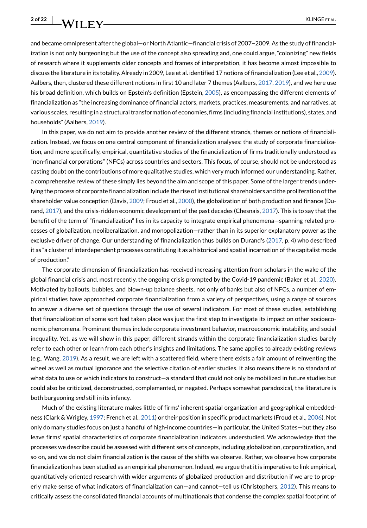and became omnipresent after the global—or North Atlantic—financial crisis of 2007−2009. As the study of financialization is not only burgeoning but the use of the concept also spreading and, one could argue, "colonizing" new fields of research where it supplements older concepts and frames of interpretation, it has become almost impossible to discuss the literature in its totality. Already in 2009, Lee et al. identified 17 notions of financialization (Lee et al., [2009](#page-19-0)). Aalbers, then, clustered these different notions in first 10 and later 7 themes (Aalbers, [2017,](#page-17-0) [2019\)](#page-17-1), and we here use his broad definition, which builds on Epstein's definition (Epstein, [2005](#page-18-0)), as encompassing the different elements of financialization as "the increasing dominance of financial actors, markets, practices, measurements, and narratives, at various scales, resulting in a structural transformation of economies, firms (including financial institutions), states, and households" (Aalbers, [2019\)](#page-17-1).

In this paper, we do not aim to provide another review of the different strands, themes or notions of financialization. Instead, we focus on one central component of financialization analyses: the study of corporate financialization, and more specifically, empirical, quantitative studies of the financialization of firms traditionally understood as "non-financial corporations" (NFCs) across countries and sectors. This focus, of course, should not be understood as casting doubt on the contributions of more qualitative studies, which very much informed our understanding. Rather, a comprehensive review of these simply lies beyond the aim and scope of this paper. Some of the larger trends underlying the process of corporate financialization include the rise of institutional shareholders and the proliferation of the shareholder value conception (Davis, [2009](#page-18-1); Froud et al., [2000](#page-19-1)), the globalization of both production and finance (Durand, [2017](#page-18-2)), and the crisis-ridden economic development of the past decades (Chesnais, [2017\)](#page-18-3). This is to say that the benefit of the term of "financialization" lies in its capacity to integrate empirical phenomena—spanning related processes of globalization, neoliberalization, and monopolization—rather than in its superior explanatory power as the exclusive driver of change. Our understanding of financialization thus builds on Durand's [\(2017,](#page-18-2) p. 4) who described it as "a cluster of interdependent processes constituting it as a historical and spatial incarnation of the capitalist mode of production."

The corporate dimension of financialization has received increasing attention from scholars in the wake of the global financial crisis and, most recently, the ongoing crisis prompted by the Covid-19 pandemic (Baker et al., [2020](#page-17-2)). Motivated by bailouts, bubbles, and blown-up balance sheets, not only of banks but also of NFCs, a number of empirical studies have approached corporate financialization from a variety of perspectives, using a range of sources to answer a diverse set of questions through the use of several indicators. For most of these studies, establishing that financialization of some sort had taken place was just the first step to investigate its impact on other socioeconomic phenomena. Prominent themes include corporate investment behavior, macroeconomic instability, and social inequality. Yet, as we will show in this paper, different strands within the corporate financialization studies barely refer to each other or learn from each other's insights and limitations. The same applies to already existing reviews (e.g., Wang, [2019\)](#page-20-1). As a result, we are left with a scattered field, where there exists a fair amount of reinventing the wheel as well as mutual ignorance and the selective citation of earlier studies. It also means there is no standard of what data to use or which indicators to construct—a standard that could not only be mobilized in future studies but could also be criticized, deconstructed, complemented, or negated. Perhaps somewhat paradoxical, the literature is both burgeoning *and* still in its infancy.

Much of the existing literature makes little of firms' inherent spatial organization and geographical embeddedness (Clark & Wrigley, [1997;](#page-18-4) French et al., [2011\)](#page-19-2) or their position in specific product markets (Froud et al., [2006](#page-19-3)). Not only do many studies focus on just a handful of high-income countries—in particular, the United States—but they also leave firms' spatial characteristics of corporate financialization indicators understudied. We acknowledge that the processes we describe could be assessed with different sets of concepts, including globalization, corporatization, and so on, and we do not claim financialization is the cause of the shifts we observe. Rather, we observe how corporate financialization has been studied as an empirical phenomenon. Indeed, we argue that it is imperative to link empirical, quantitatively oriented research with wider arguments of globalized production and distribution if we are to properly make sense of what indicators of financialization can—and cannot—tell us (Christophers, [2012\)](#page-18-5). This means to critically assess the consolidated financial accounts of multinationals that condense the complex spatial footprint of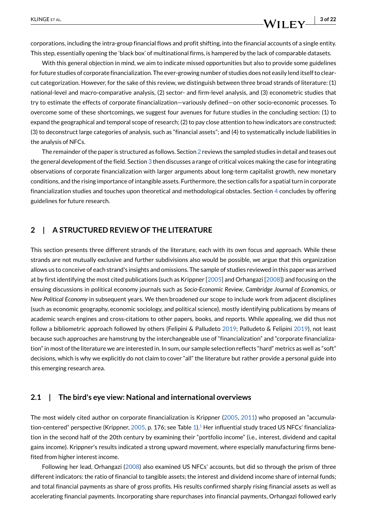### **KLINGE ET AL. 3 of 22**

corporations, including the intra-group financial flows and profit shifting, into the financial accounts of a single entity. This step, essentially opening the 'black box' of multinational firms, is hampered by the lack of comparable datasets.

With this general objection in mind, we aim to indicate missed opportunities but also to provide some guidelines for future studies of corporate financialization. The ever-growing number of studies does not easily lend itself to clearcut categorization. However, for the sake of this review, we distinguish between three broad strands of literature: (1) national-level and macro-comparative analysis, (2) sector- and firm-level analysis, and (3) econometric studies that try to estimate the effects of corporate financialization—variously defined—on other socio-economic processes. To overcome some of these shortcomings, we suggest four avenues for future studies in the concluding section: (1) to expand the geographical and temporal scope of research; (2) to pay close attention to how indicators are constructed; (3) to deconstruct large categories of analysis, such as "financial assets"; and (4) to systematically include liabilities in the analysis of NFCs.

The remainder of the paper is structured as follows. Section [2](#page-2-0) reviews the sampled studies in detail and teases out the general development of the field. Section [3](#page-11-0) then discusses a range of critical voices making the case for integrating observations of corporate financialization with larger arguments about long-term capitalist growth, new monetary conditions, and the rising importance of intangible assets. Furthermore, the section calls for a spatial turn in corporate financialization studies and touches upon theoretical and methodological obstacles. Section [4](#page-15-0) concludes by offering guidelines for future research.

#### <span id="page-2-0"></span>**2 | A STRUCTURED REVIEW OF THE LITERATURE**

This section presents three different strands of the literature, each with its own focus and approach. While these strands are not mutually exclusive and further subdivisions also would be possible, we argue that this organization allows us to conceive of each strand's insights and omissions. The sample of studies reviewed in this paper was arrived at by first identifying the most cited publications (such as Krippner [\[2005\]](#page-19-4) and Orhangazi [[2008](#page-20-2)]) and focusing on the ensuing discussions in political economy journals such as *Socio-Economic Review*, *Cambridge Journal of Economics*, or *New Political Economy* in subsequent years. We then broadened our scope to include work from adjacent disciplines (such as economic geography, economic sociology, and political science), mostly identifying publications by means of academic search engines and cross-citations to other papers, books, and reports. While appealing, we did thus not follow a bibliometric approach followed by others (Felipini & Palludeto [2019](#page-18-6); Palludeto & Felipini [2019\)](#page-20-3), not least because such approaches are hamstrung by the interchangeable use of "financialization" and "corporate financialization" in most of the literature we are interested in. In sum, our sample selection reflects "hard" metrics as well as "soft" decisions, which is why we explicitly do not claim to cover "all" the literature but rather provide a personal guide into this emerging research area.

#### **2.1 | The bird's eye view: National and international overviews**

The most widely cited author on corporate financialization is Krippner ([2005](#page-19-4), [2011\)](#page-19-5) who proposed an "accumula-tion-centered" perspective (Krippner, [2005,](#page-19-4) p. 176; see Table [1\)](#page-3-0).<sup>1</sup> Her influential study traced US NFCs' financialization in the second half of the 20th century by examining their "portfolio income" (i.e., interest, dividend and capital gains income). Krippner's results indicated a strong upward movement, where especially manufacturing firms benefited from higher interest income.

Following her lead, Orhangazi ([2008](#page-20-2)) also examined US NFCs' accounts, but did so through the prism of three different indicators: the ratio of financial to tangible assets; the interest and dividend income share of internal funds; and total financial payments as share of gross profits. His results confirmed sharply rising financial assets as well as accelerating financial payments. Incorporating share repurchases into financial payments, Orhangazi followed early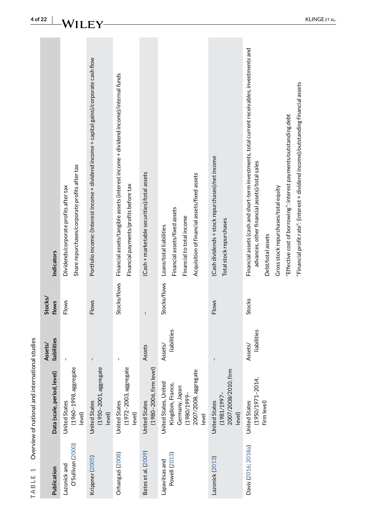| Publication                       | Data (scale, period, level)                                                        | liabilities<br>Assets/ | Stocks/<br>flows | Indicators                                                                                                                                                                                                                                                                                                                                                             |
|-----------------------------------|------------------------------------------------------------------------------------|------------------------|------------------|------------------------------------------------------------------------------------------------------------------------------------------------------------------------------------------------------------------------------------------------------------------------------------------------------------------------------------------------------------------------|
| O'Sullivan (2000)<br>Lazonick and | (1960-1998, aggregate<br>United States<br>level)                                   | I                      | <b>Flows</b>     | Share repurchases/corporate profits after tax<br>Dividends/corporate profits after tax                                                                                                                                                                                                                                                                                 |
| Krippner (2005)                   | (1950-2001, aggregate<br>United States<br>level)                                   | $\mathbf{I}$           | <b>Flows</b>     | Portfolio income: (Interest income + dividend income + capital gains)/corporate cash flow                                                                                                                                                                                                                                                                              |
| Orhangazi (2008)                  | (1972-2003, aggregate<br><b>United States</b><br>level)                            | ı                      | Stocks/flows     | Financial assets/tangible assets (interest income + dividend income)/internal funds<br>Financial payments/profits before tax                                                                                                                                                                                                                                           |
| Bates et al. (2009)               | (1980-2006, firm level)<br>United States                                           | Assets                 |                  | (Cash + marketable securities)/total assets                                                                                                                                                                                                                                                                                                                            |
| Lapavitsas and                    | United States, United                                                              | Assets/                | Stocks/flows     | Loans/total liabilities                                                                                                                                                                                                                                                                                                                                                |
| Powell (2013)                     | 2007/2008, aggregate<br>Kingdom, France,<br>Germany, Japan<br>-6661/0861)<br>level | liabilities            |                  | Acquisition of financial assets/fixed assets<br>Financial assets/fixed assets<br>Financial to total income                                                                                                                                                                                                                                                             |
| Lazonick (2013)                   | E<br>2007/2008/2010, fir<br>United States<br>(1981/1997–<br>level)                 |                        | <b>Flows</b>     | (Cash dividends + stock repurchases)/net income<br>Total stock repurchases                                                                                                                                                                                                                                                                                             |
| Davis (2016; 2018a)               | (1950/1971-2014,<br>United States<br>firm level)                                   | liabilities<br>Assets/ | <b>Stocks</b>    | Financial assets (cash and short-term investments, total current receivables, investments and<br>"Financial profit rate": (interest + dividend income)/outstanding financial assets<br>"Effective cost of borrowing": interest payments/outstanding debt<br>advances, other financial assets)/total sales<br>Gross stock repurchases/total equity<br>Debt/total assets |

<span id="page-3-0"></span>Overview of national and international studies **TABLE 1** Overview of national and international studiesTABLE 1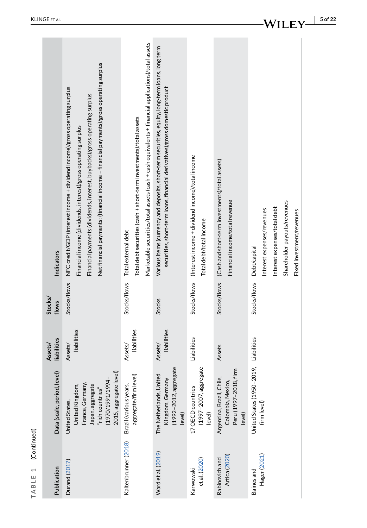| Publication                     | Data (scale, period, level)                                                                                                               | liabilities<br>Assets/ | Stocks/<br>flows | Indicators                                                                                                                                                                                                                                                                                                            |
|---------------------------------|-------------------------------------------------------------------------------------------------------------------------------------------|------------------------|------------------|-----------------------------------------------------------------------------------------------------------------------------------------------------------------------------------------------------------------------------------------------------------------------------------------------------------------------|
| Durand (2017)                   | 2015, aggregate level)<br>1970/1991/1994<br>France, Germany,<br>United Kingdom,<br>Japan, aggregate<br>'rich countries"<br>United States, | liabilities<br>Assets/ | Stocks/flows     | Net financial payments: (financial income - financial payments)/gross operating surplus<br>NFC credit/GDP (interest income + dividend income)/gross operating surplus<br>Financial payments (dividends, interest, buybacks)/gross operating surplus<br>Financial income (dividends, interest)/gross operating surplus |
| Kaltenbrunner (2018)            | aggregate/firm level)<br>Brazil (various years,                                                                                           | liabilities<br>Assets/ | Stocks/flows     | Marketable securities/total assets (cash + cash equivalents + financial applications)/total assets<br>Total debt securities (cash + short-term investments)/total assets<br>Total external debt                                                                                                                       |
| Ward et al. (2019)              | (1992-2012, aggregate<br>The Netherlands, United<br>Kingdom, Germany<br>level)                                                            | liabilities<br>Assets/ | <b>Stocks</b>    | Various items (currency and deposits, short-term securities, equity, long-term loans, long term<br>securities, short-term loans, financial derivatives)/gross domestic product                                                                                                                                        |
| et al. (2020)<br>Karwowski      | به<br>(1997–2007, aggregat<br>17 OECD countries<br>level)                                                                                 | Liabilities            | Stocks/flows     | (Interest income + dividend income)/total income<br>Total debt/total income                                                                                                                                                                                                                                           |
| Artica (2020)<br>Rabinovich and | Peru (1997-2018, firm<br>Argentina, Brazil, Chile,<br>Colombia, Mexico,<br>level)                                                         | Assets                 | Stocks/flows     | (Cash and short-term investments)/total assets)<br>Financial income/total revenue                                                                                                                                                                                                                                     |
| Hager (2021)<br>Baines and      | United States (1950-2019,<br>firm level)                                                                                                  | Liabilities            | Stocks/flows     | Shareholder payouts/revenues<br>Interest expenses/total debt<br>Interest expenses/revenues<br>Fixed investment/revenues<br><b>Debt/capital</b>                                                                                                                                                                        |

**TABLE 1** (Continued)

TABLE 1 (Continued)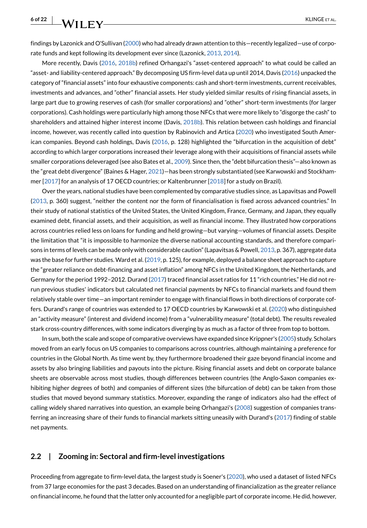### **6 of 22 KLINGE** et al. **KLINGE** et al.

findings by Lazonick and O'Sullivan [\(2000\)](#page-19-6) who had already drawn attention to this—recently legalized—use of corporate funds and kept following its development ever since (Lazonick, [2013,](#page-19-8) [2014\)](#page-19-11).

More recently, Davis ([2016](#page-18-7), [2018b](#page-18-9)) refined Orhangazi's "asset-centered approach" to what could be called an "asset- and liability-centered approach." By decomposing US firm-level data up until 2014, Davis ([2016](#page-18-7)) unpacked the category of "financial assets" into four exhaustive components: cash and short-term investments, current receivables, investments and advances, and "other" financial assets. Her study yielded similar results of rising financial assets, in large part due to growing reserves of cash (for smaller corporations) and "other" short-term investments (for larger corporations). Cash holdings were particularly high among those NFCs that were more likely to "disgorge the cash" to shareholders and attained higher interest income (Davis, [2018b](#page-18-9)). This relation between cash holdings and financial income, however, was recently called into question by Rabinovich and Artica [\(2020\)](#page-20-5) who investigated South American companies. Beyond cash holdings, Davis [\(2016,](#page-18-7) p. 128) highlighted the "bifurcation in the acquisition of debt" according to which larger corporations increased their leverage along with their acquisitions of financial assets while smaller corporations deleveraged (see also Bates et al., [2009\)](#page-17-4). Since then, the "debt bifurcation thesis"—also known as the "great debt divergence" (Baines & Hager, [2021](#page-17-5))—has been strongly substantiated (see Karwowski and Stockhammer [\[2017](#page-19-12)] for an analysis of 17 OECD countries; or Kaltenbrunner [\[2018\]](#page-19-9) for a study on Brazil).

Over the years, national studies have been complemented by comparative studies since, as Lapavitsas and Powell ([2013](#page-19-7), p. 360) suggest, "neither the content nor the form of financialisation is fixed across advanced countries." In their study of national statistics of the United States, the United Kingdom, France, Germany, and Japan, they equally examined debt, financial assets, and their acquisition, as well as financial income. They illustrated how corporations across countries relied less on loans for funding and held growing—but varying—volumes of financial assets. Despite the limitation that "it is impossible to harmonize the diverse national accounting standards, and therefore comparisons in terms of levels can be made only with considerable caution" (Lapavitsas & Powell, [2013,](#page-19-7) p. 367), aggregate data was the base for further studies. Ward et al. ([2019](#page-20-4), p. 125), for example, deployed a balance sheet approach to capture the "greater reliance on debt-financing and asset inflation" among NFCs in the United Kingdom, the Netherlands, and Germany for the period 1992–2012. Durand ([2017](#page-18-2)) traced financial asset ratios for 11 "rich countries." He did not rerun previous studies' indicators but calculated net financial payments by NFCs to financial markets and found them relatively stable over time—an important reminder to engage with financial flows in both directions of corporate coffers. Durand's range of countries was extended to 17 OECD countries by Karwowski et al. [\(2020\)](#page-19-10) who distinguished an "activity measure" (interest and dividend income) from a "vulnerability measure" (total debt). The results revealed stark cross-country differences, with some indicators diverging by as much as a factor of three from top to bottom.

In sum, both the scale and scope of comparative overviews have expanded since Krippner's [\(2005\)](#page-19-4) study. Scholars moved from an early focus on US companies to comparisons across countries, although maintaining a preference for countries in the Global North. As time went by, they furthermore broadened their gaze beyond financial income and assets by also bringing liabilities and payouts into the picture. Rising financial assets and debt on corporate balance sheets are observable across most studies, though differences between countries (the Anglo-Saxon companies exhibiting higher degrees of both) and companies of different sizes (the bifurcation of debt) can be taken from those studies that moved beyond summary statistics. Moreover, expanding the range of indicators also had the effect of calling widely shared narratives into question, an example being Orhangazi's [\(2008\)](#page-20-2) suggestion of companies transferring an increasing share of their funds to financial markets sitting uneasily with Durand's ([2017](#page-18-2)) finding of stable net payments.

#### **2.2 | Zooming in: Sectoral and firm-level investigations**

Proceeding from aggregate to firm-level data, the largest study is Soener's [\(2020\)](#page-20-6), who used a dataset of listed NFCs from 37 large economies for the past 3 decades. Based on an understanding of financialization as the greater reliance on financial income, he found that the latter only accounted for a negligible part of corporate income. He did, however,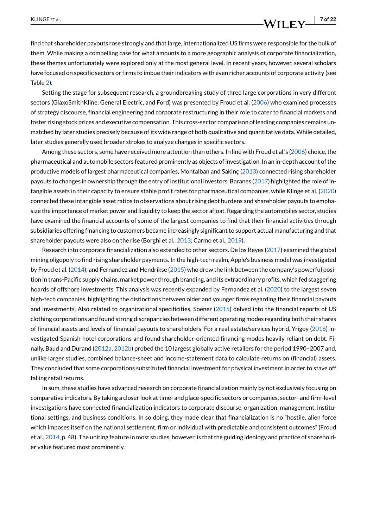find that shareholder payouts rose strongly and that large, internationalized US firms were responsible for the bulk of them. While making a compelling case for what amounts to a more geographic analysis of corporate financialization, these themes unfortunately were explored only at the most general level. In recent years, however, several scholars have focused on specific sectors or firms to imbue their indicators with even richer accounts of corporate activity (see Table [2](#page-7-0)).

Setting the stage for subsequent research, a groundbreaking study of three large corporations in very different sectors (GlaxoSmithKline, General Electric, and Ford) was presented by Froud et al. [\(2006\)](#page-19-3) who examined processes of strategy discourse, financial engineering and corporate restructuring in their role to cater to financial markets and foster rising stock prices and executive compensation. This cross-sector comparison of leading companies remains unmatched by later studies precisely because of its wide range of both qualitative and quantitative data. While detailed, later studies generally used broader strokes to analyze changes in specific sectors.

Among these sectors, some have received more attention than others. In line with Froud et al.'s [\(2006](#page-19-3)) choice, the pharmaceutical and automobile sectors featured prominently as objects of investigation. In an in-depth account of the productive models of largest pharmaceutical companies, Montalban and Sakinç ([2013](#page-20-7)) connected rising shareholder payouts to changes in ownership through the entry of institutional investors. Baranes ([2017](#page-17-6)) highlighted the role of intangible assets in their capacity to ensure stable profit rates for pharmaceutical companies, while Klinge et al. [\(2020\)](#page-19-13) connected these intangible asset ratios to observations about rising debt burdens and shareholder payouts to emphasize the importance of market power and liquidity to keep the sector afloat. Regarding the automobiles sector, studies have examined the financial accounts of some of the largest companies to find that their financial activities through subsidiaries offering financing to customers became increasingly significant to support actual manufacturing and that shareholder payouts were also on the rise (Borghi et al., [2013](#page-18-10); Carmo et al., [2019](#page-18-11)).

Research into corporate financialization also extended to other sectors. De los Reyes [\(2017\)](#page-18-12) examined the global mining oligopoly to find rising shareholder payments. In the high-tech realm, Apple's business model was investigated by Froud et al. [\(2014\)](#page-19-14), and Fernandez and Hendrikse ([2015](#page-18-13)) who drew the link between the company's powerful position in trans-Pacific supply chains, market power through branding, and its extraordinary profits, which fed staggering hoards of offshore investments. This analysis was recently expanded by Fernandez et al. [\(2020\)](#page-18-14) to the largest seven high-tech companies, highlighting the distinctions between older and younger firms regarding their financial payouts and investments. Also related to organizational specificities, Soener ([2015](#page-20-8)) delved into the financial reports of US clothing corporations and found strong discrepancies between different operating modes regarding both their shares of financial assets and levels of financial payouts to shareholders. For a real estate/services hybrid, Yrigoy [\(2016\)](#page-21-0) investigated Spanish hotel corporations and found shareholder-oriented financing modes heavily reliant on debt. Finally, Baud and Durand ([2012a](#page-17-7), [2012b\)](#page-18-15) probed the 10 largest globally active retailers for the period 1990–2007 and, unlike larger studies, combined balance-sheet and income-statement data to calculate returns on (financial) assets. They concluded that some corporations substituted financial investment for physical investment in order to stave off falling retail returns.

In sum, these studies have advanced research on corporate financialization mainly by not exclusively focusing on comparative indicators. By taking a closer look at time- and place-specific sectors or companies, sector- and firm-level investigations have connected financialization indicators to corporate discourse, organization, management, institutional settings, and business conditions. In so doing, they made clear that financialization is no "hostile, alien force which imposes itself on the national settlement, firm or individual with predictable and consistent outcomes" (Froud et al., [2014,](#page-19-14) p. 48). The uniting feature in most studies, however, is that the guiding ideology and practice of shareholder value featured most prominently.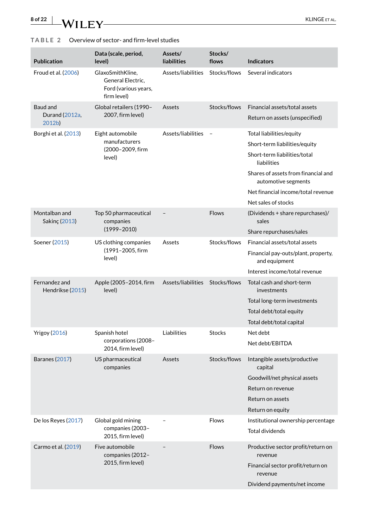| <b>Publication</b>                   | Data (scale, period,<br>level)                                               | Assets/<br><b>liabilities</b>   | Stocks/<br>flows | <b>Indicators</b>                                                                                                                                                                                                                   |
|--------------------------------------|------------------------------------------------------------------------------|---------------------------------|------------------|-------------------------------------------------------------------------------------------------------------------------------------------------------------------------------------------------------------------------------------|
| Froud et al. (2006)                  | GlaxoSmithKline.<br>General Electric,<br>Ford (various years,<br>firm level) | Assets/liabilities              | Stocks/flows     | Several indicators                                                                                                                                                                                                                  |
| Baud and<br>Durand (2012a,<br>2012b) | Global retailers (1990-<br>2007, firm level)                                 | Assets                          | Stocks/flows     | Financial assets/total assets<br>Return on assets (unspecified)                                                                                                                                                                     |
| Borghi et al. (2013)                 | Eight automobile<br>manufacturers<br>(2000-2009, firm<br>level)              | Assets/liabilities              |                  | Total liabilities/equity<br>Short-term liabilities/equity<br>Short-term liabilities/total<br>liabilities<br>Shares of assets from financial and<br>automotive segments<br>Net financial income/total revenue<br>Net sales of stocks |
| Montalban and<br>Sakinç (2013)       | Top 50 pharmaceutical<br>companies<br>$(1999 - 2010)$                        |                                 | <b>Flows</b>     | (Dividends + share repurchases)/<br>sales<br>Share repurchases/sales                                                                                                                                                                |
| Soener (2015)                        | US clothing companies<br>(1991-2005, firm<br>level)                          | Assets                          | Stocks/flows     | Financial assets/total assets<br>Financial pay-outs/plant, property,<br>and equipment<br>Interest income/total revenue                                                                                                              |
| Fernandez and<br>Hendrikse (2015)    | Apple (2005-2014, firm<br>level)                                             | Assets/liabilities Stocks/flows |                  | Total cash and short-term<br>investments<br>Total long-term investments<br>Total debt/total equity<br>Total debt/total capital                                                                                                      |
| <b>Yrigoy (2016)</b>                 | Spanish hotel<br>corporations (2008-<br>2014, firm level)                    | Liabilities                     | <b>Stocks</b>    | Net debt<br>Net debt/EBITDA                                                                                                                                                                                                         |
| <b>Baranes (2017)</b>                | US pharmaceutical<br>companies                                               | Assets                          | Stocks/flows     | Intangible assets/productive<br>capital<br>Goodwill/net physical assets<br>Return on revenue<br>Return on assets<br>Return on equity                                                                                                |
| De los Reyes (2017)                  | Global gold mining<br>companies (2003-<br>2015, firm level)                  | $\overline{\phantom{m}}$        | <b>Flows</b>     | Institutional ownership percentage<br><b>Total dividends</b>                                                                                                                                                                        |
| Carmo et al. (2019)                  | Five automobile<br>companies (2012-<br>2015, firm level)                     |                                 | <b>Flows</b>     | Productive sector profit/return on<br>revenue<br>Financial sector profit/return on<br>revenue<br>Dividend payments/net income                                                                                                       |

#### <span id="page-7-0"></span>**TABLE 2** Overview of sector- and firm-level studies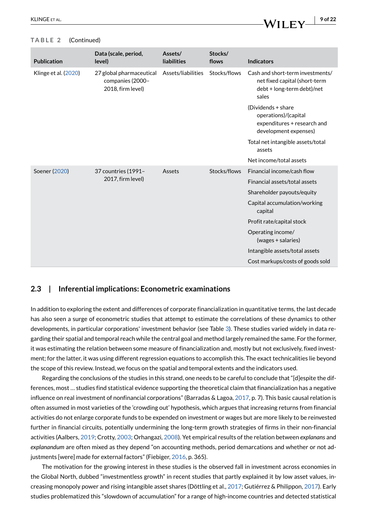#### **TABLE 2** (Continued)

| <b>Publication</b>   | Data (scale, period,<br>level)                                    | Assets/<br><b>liabilities</b> | Stocks/<br>flows | <b>Indicators</b>                                                                                        |
|----------------------|-------------------------------------------------------------------|-------------------------------|------------------|----------------------------------------------------------------------------------------------------------|
| Klinge et al. (2020) | 27 global pharmaceutical<br>companies (2000-<br>2018, firm level) | Assets/liabilities            | Stocks/flows     | Cash and short-term investments/<br>net fixed capital (short-term<br>debt + long-term debt)/net<br>sales |
|                      |                                                                   |                               |                  | (Dividends + share<br>operations)/(capital<br>expenditures + research and<br>development expenses)       |
|                      |                                                                   |                               |                  | Total net intangible assets/total<br>assets                                                              |
|                      |                                                                   |                               |                  | Net income/total assets                                                                                  |
| Soener (2020)        | 37 countries (1991-                                               | Assets                        | Stocks/flows     | Financial income/cash flow                                                                               |
|                      | 2017, firm level)                                                 |                               |                  | Financial assets/total assets                                                                            |
|                      |                                                                   |                               |                  | Shareholder payouts/equity                                                                               |
|                      |                                                                   |                               |                  | Capital accumulation/working<br>capital                                                                  |
|                      |                                                                   |                               |                  | Profit rate/capital stock                                                                                |
|                      |                                                                   |                               |                  | Operating income/<br>(wages + salaries)                                                                  |
|                      |                                                                   |                               |                  | Intangible assets/total assets                                                                           |
|                      |                                                                   |                               |                  | Cost markups/costs of goods sold                                                                         |

#### **2.3 | Inferential implications: Econometric examinations**

In addition to exploring the extent and differences of corporate financialization in quantitative terms, the last decade has also seen a surge of econometric studies that attempt to estimate the correlations of these dynamics to other developments, in particular corporations' investment behavior (see Table [3\)](#page-9-0). These studies varied widely in data regarding their spatial and temporal reach while the central goal and method largely remained the same. For the former, it was estimating the relation between some measure of financialization and, mostly but not exclusively, fixed investment; for the latter, it was using different regression equations to accomplish this. The exact technicalities lie beyond the scope of this review. Instead, we focus on the spatial and temporal extents and the indicators used.

Regarding the conclusions of the studies in this strand, one needs to be careful to conclude that "[d]espite the differences, most … studies find statistical evidence supporting the theoretical claim that financialization has a negative influence on real investment of nonfinancial corporations" (Barradas & Lagoa, [2017](#page-17-8), p. 7). This basic causal relation is often assumed in most varieties of the 'crowding out' hypothesis, which argues that increasing returns from financial activities do not enlarge corporate funds to be expended on investment or wages but are more likely to be reinvested further in financial circuits, potentially undermining the long-term growth strategies of firms in their non-financial activities (Aalbers, [2019;](#page-17-1) Crotty, [2003](#page-18-16); Orhangazi, [2008](#page-20-2)). Yet empirical results of the relation between *explanans* and *explanandum* are often mixed as they depend "on accounting methods, period demarcations and whether or not ad-justments [were] made for external factors" (Fiebiger, [2016](#page-19-15), p. 365).

The motivation for the growing interest in these studies is the observed fall in investment across economies in the Global North, dubbed "investmentless growth" in recent studies that partly explained it by low asset values, increasing monopoly power and rising intangible asset shares (Döttling et al., [2017](#page-18-17); Gutiérrez & Philippon, [2017](#page-19-16)). Early studies problematized this "slowdown of accumulation" for a range of high-income countries and detected statistical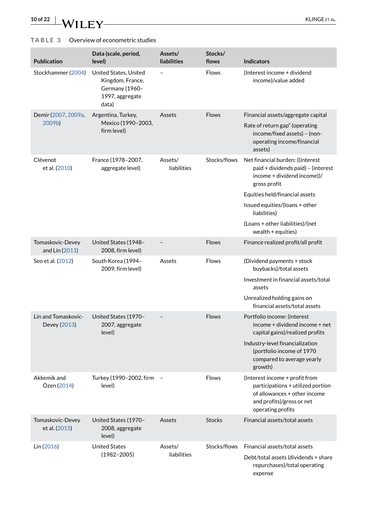# **10 of 22** WILEY KLINGE ET AL.

### <span id="page-9-0"></span>**TABLE 3** Overview of econometric studies

| <b>Publication</b>                  | Data (scale, period,<br>level)                                                          | Assets/<br>liabilities | Stocks/<br>flows | <b>Indicators</b>                                                                                                                                                                                                                                                     |
|-------------------------------------|-----------------------------------------------------------------------------------------|------------------------|------------------|-----------------------------------------------------------------------------------------------------------------------------------------------------------------------------------------------------------------------------------------------------------------------|
| Stockhammer (2004)                  | United States, United<br>Kingdom, France,<br>Germany (1960-<br>1997, aggregate<br>data) |                        | Flows            | (Interest income + dividend<br>income)/value added                                                                                                                                                                                                                    |
| Demir (2007, 2009a,<br>2009b)       | Argentina, Turkey,<br>Mexico (1990-2003,<br>firm level)                                 | Assets                 | <b>Flows</b>     | Financial assets/aggregate capital<br>Rate of return gap" (operating<br>income/fixed assets) - (non-<br>operating income/financial<br>assets)                                                                                                                         |
| Clévenot<br>et al. (2010)           | France (1978-2007,<br>aggregate level)                                                  | Assets/<br>liabilities | Stocks/flows     | Net financial burden: ((interest<br>paid + dividends paid) - (interest<br>income + dividend income))/<br>gross profit<br>Equities held/financial assets<br>Issued equities/(loans + other<br>liabilities)<br>(Loans + other liabilities)/(net<br>wealth $+$ equities) |
| Tomaskovic-Devey<br>and Lin (2011)  | United States (1948-<br>2008, firm level)                                               |                        | <b>Flows</b>     | Finance realized profit/all profit                                                                                                                                                                                                                                    |
| Seo et al. (2012)                   | South Korea (1994-<br>2009, firm level)                                                 | Assets                 | <b>Flows</b>     | (Dividend payments + stock<br>buybacks)/total assets<br>Investment in financial assets/total<br>assets<br>Unrealized holding gains on<br>financial assets/total assets                                                                                                |
| Lin and Tomaskovic-<br>Devey (2013) | United States (1970-<br>2007, aggregate<br>level)                                       |                        | Flows            | Portfolio income: (interest<br>income + dividend income + net<br>capital gains)/realized profits<br>Industry-level financialization<br>(portfolio income of 1970<br>compared to average yearly<br>growth)                                                             |
| Akkemik and<br>Özen (2014)          | Turkey (1990-2002, firm<br>level)                                                       |                        | <b>Flows</b>     | (Interest income + profit from<br>participations + utilized portion<br>of allowances + other income<br>and profits)/gross or net<br>operating profits                                                                                                                 |
| Tomaskovic-Devey<br>et al. (2015)   | United States (1970-<br>2008, aggregate<br>level)                                       | Assets                 | <b>Stocks</b>    | Financial assets/total assets                                                                                                                                                                                                                                         |
| Lin (2016)                          | <b>United States</b><br>$(1982 - 2005)$                                                 | Assets/<br>liabilities | Stocks/flows     | Financial assets/total assets<br>Debt/total assets (dividends + share<br>repurchases)/total operating<br>expense                                                                                                                                                      |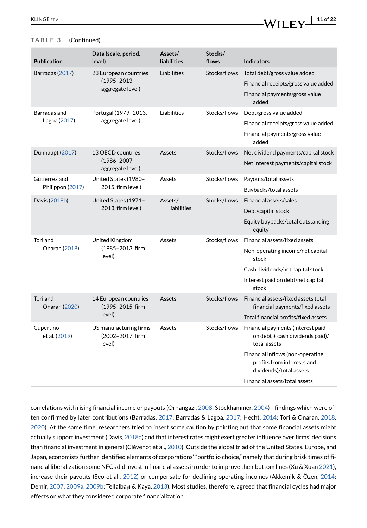#### **TABLE 3** (Continued)

| <b>Publication</b>               | Data (scale, period,<br>level)                       | Assets/<br><b>liabilities</b> | Stocks/<br>flows | <b>Indicators</b>                                                                         |
|----------------------------------|------------------------------------------------------|-------------------------------|------------------|-------------------------------------------------------------------------------------------|
| Barradas (2017)                  | 23 European countries                                | Liabilities                   | Stocks/flows     | Total debt/gross value added                                                              |
|                                  | $(1995 - 2013,$                                      |                               |                  | Financial receipts/gross value added                                                      |
|                                  | aggregate level)                                     |                               |                  | Financial payments/gross value<br>added                                                   |
| Barradas and                     | Portugal (1979-2013,                                 | Liabilities                   | Stocks/flows     | Debt/gross value added                                                                    |
| Lagoa (2017)                     | aggregate level)                                     |                               |                  | Financial receipts/gross value added                                                      |
|                                  |                                                      |                               |                  | Financial payments/gross value<br>added                                                   |
| Dünhaupt (2017)                  | 13 OECD countries                                    | Assets                        | Stocks/flows     | Net dividend payments/capital stock                                                       |
|                                  | $(1986 - 2007,$<br>aggregate level)                  |                               |                  | Net interest payments/capital stock                                                       |
| Gutiérrez and                    | United States (1980-                                 | Assets                        | Stocks/flows     | Payouts/total assets                                                                      |
| Philippon (2017)                 | 2015, firm level)                                    |                               |                  | Buybacks/total assets                                                                     |
| Davis (2018b)                    | United States (1971-                                 | Assets/                       | Stocks/flows     | Financial assets/sales                                                                    |
|                                  | 2013, firm level)                                    | liabilities                   |                  | Debt/capital stock                                                                        |
|                                  |                                                      |                               |                  | Equity buybacks/total outstanding<br>equity                                               |
| Tori and                         | United Kingdom                                       | Assets                        | Stocks/flows     | Financial assets/fixed assets                                                             |
| Onaran (2018)                    | (1985-2013, firm<br>level)                           |                               |                  | Non-operating income/net capital<br>stock                                                 |
|                                  |                                                      |                               |                  | Cash dividends/net capital stock                                                          |
|                                  |                                                      |                               |                  | Interest paid on debt/net capital<br>stock                                                |
| Tori and<br><b>Onaran (2020)</b> | 14 European countries<br>(1995-2015, firm            | Assets                        | Stocks/flows     | Financial assets/fixed assets total<br>financial payments/fixed assets                    |
|                                  | level)                                               |                               |                  | Total financial profits/fixed assets                                                      |
| Cupertino<br>et al. (2019)       | US manufacturing firms<br>(2002-2017, firm<br>level) | Assets                        | Stocks/flows     | Financial payments (interest paid<br>on debt + cash dividends paid)/<br>total assets      |
|                                  |                                                      |                               |                  | Financial inflows (non-operating<br>profits from interests and<br>dividends)/total assets |
|                                  |                                                      |                               |                  | Financial assets/total assets                                                             |

correlations with rising financial income or payouts (Orhangazi, [2008](#page-20-2); Stockhammer, [2004](#page-20-9))—findings which were often confirmed by later contributions (Barradas, [2017;](#page-17-10) Barradas & Lagoa, [2017](#page-17-8); Hecht, [2014](#page-19-19); Tori & Onaran, [2018](#page-20-13), [2020](#page-20-14)). At the same time, researchers tried to insert some caution by pointing out that some financial assets might actually support investment (Davis, [2018a](#page-18-8)) and that interest rates might exert greater influence over firms' decisions than financial investment in general (Clévenot et al., [2010\)](#page-18-21). Outside the global triad of the United States, Europe, and Japan, economists further identified elements of corporations' "portfolio choice," namely that during brisk times of financial liberalization some NFCs did invest in financial assets in order to improve their bottom lines (Xu & Xuan [2021](#page-21-1)), increase their payouts (Seo et al., [2012\)](#page-20-11) or compensate for declining operating incomes (Akkemik & Özen, [2014](#page-17-9); Demir, [2007](#page-18-18), [2009a](#page-18-19), [2009b;](#page-18-20) Tellalbaşı & Kaya, [2013](#page-20-15)). Most studies, therefore, agreed that financial cycles had major effects on what they considered corporate financialization.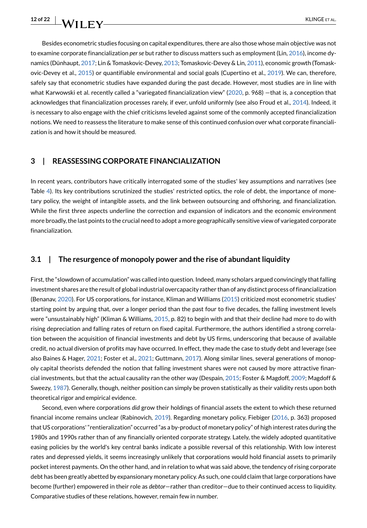Besides econometric studies focusing on capital expenditures, there are also those whose main objective was not to examine corporate financialization *per se* but rather to discuss matters such as employment (Lin, [2016](#page-19-18)), income dynamics (Dünhaupt, [2017;](#page-18-22) Lin & Tomaskovic-Devey, [2013](#page-19-17); Tomaskovic-Devey & Lin, [2011](#page-20-10)), economic growth (Tomaskovic-Devey et al., [2015\)](#page-20-12) or quantifiable environmental and social goals (Cupertino et al., [2019\)](#page-18-23). We can, therefore, safely say that econometric studies have expanded during the past decade. However, most studies are in line with what Karwowski et al. recently called a "variegated financialization view" ([2020](#page-19-10), p. 968) —that is, a conception that acknowledges that financialization processes rarely, if ever, unfold uniformly (see also Froud et al., [2014](#page-19-14)). Indeed, it is necessary to also engage with the chief criticisms leveled against some of the commonly accepted financialization notions. We need to reassess the literature to make sense of this continued confusion over what corporate financialization is and how it should be measured.

#### <span id="page-11-0"></span>**3 | REASSESSING CORPORATE FINANCIALIZATION**

In recent years, contributors have critically interrogated some of the studies' key assumptions and narratives (see Table [4](#page-12-0)). Its key contributions scrutinized the studies' restricted optics, the role of debt, the importance of monetary policy, the weight of intangible assets, and the link between outsourcing and offshoring, and financialization. While the first three aspects underline the correction and expansion of indicators and the economic environment more broadly, the last points to the crucial need to adopt a more geographically sensitive view of variegated corporate financialization.

#### **3.1 | The resurgence of monopoly power and the rise of abundant liquidity**

First, the "slowdown of accumulation" was called into question. Indeed, many scholars argued convincingly that falling investment shares are the result of global industrial overcapacity rather than of any distinct process of financialization (Benanav, [2020\)](#page-18-24). For US corporations, for instance, Kliman and Williams [\(2015\)](#page-19-20) criticized most econometric studies' starting point by arguing that, over a longer period than the past four to five decades, the falling investment levels were "unsustainably high" (Kliman & Williams, [2015](#page-19-20), p. 82) to begin with and that their decline had more to do with rising depreciation and falling rates of return on fixed capital. Furthermore, the authors identified a strong correlation between the acquisition of financial investments and debt by US firms, underscoring that because of available credit, no actual diversion of profits may have occurred. In effect, they made the case to study debt and leverage (see also Baines & Hager, [2021](#page-19-21); Foster et al., 2021; Guttmann, [2017](#page-19-22)). Along similar lines, several generations of monopoly capital theorists defended the notion that falling investment shares were not caused by more attractive financial investments, but that the actual causality ran the other way (Despain, [2015](#page-18-25); Foster & Magdoff, [2009](#page-19-23); Magdoff & Sweezy, [1987\)](#page-19-24). Generally, though, neither position can simply be proven statistically as their validity rests upon both theoretical rigor and empirical evidence.

Second, even where corporations *did* grow their holdings of financial assets the extent to which these returned financial income remains unclear (Rabinovich, [2019\)](#page-20-16). Regarding monetary policy, Fiebiger [\(2016](#page-19-15), p. 363) proposed that US corporations' "rentieralization" occurred "as a by-product of monetary policy" of high interest rates during the 1980s and 1990s rather than of any financially oriented corporate strategy. Lately, the widely adopted quantitative easing policies by the world's key central banks indicate a possible reversal of this relationship. With low interest rates and depressed yields, it seems increasingly unlikely that corporations would hold financial assets to primarily pocket interest payments. On the other hand, and in relation to what was said above, the tendency of rising corporate debt has been greatly abetted by expansionary monetary policy. As such, one could claim that large corporations have become (further) empowered in their role as *debtor*—rather than creditor—due to their continued access to liquidity. Comparative studies of these relations, however, remain few in number.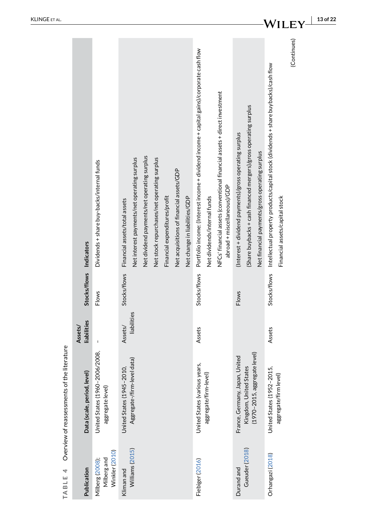|                                             |                             |                                                   |                                                                                                                                                                            |                                                                                                            |                                                                                                                                                                                                                                       |                                                                                                                                                                              | 13 of 22                                                                                                                                          |
|---------------------------------------------|-----------------------------|---------------------------------------------------|----------------------------------------------------------------------------------------------------------------------------------------------------------------------------|------------------------------------------------------------------------------------------------------------|---------------------------------------------------------------------------------------------------------------------------------------------------------------------------------------------------------------------------------------|------------------------------------------------------------------------------------------------------------------------------------------------------------------------------|---------------------------------------------------------------------------------------------------------------------------------------------------|
|                                             |                             | Dividends + share buy-backs/internal funds        | Net dividend payments/net operating surplus<br>Net interest payments/net operating surplus<br>Net stock repurchases/net operating surplus<br>Financial assets/total assets | Net acquisitions of financial assets/GDP<br>Financial expenditures/profit<br>Net change in liabilities/GDP | Portfolio income: (Interest income + dividend income + capital gains)/corporate cash flow<br>NFCs' financial assets (conventional financial assets + direct investment<br>abroad + miscellaneous)/GDP<br>Net dividends/internal funds | (Share buybacks + cash financed mergers)/gross operating surplus<br>(Interest + dividend payments)/gross operating surplus<br>Net financial payments/gross operating surplus | (Continues)<br>Stocks/flows Intellectual property products/capital stock (dividends + share buybacks)/cash flow<br>Financial assets/capital stock |
|                                             | Stocks/flows Indicators     | Flows                                             | Stocks/flows                                                                                                                                                               |                                                                                                            | Stocks/flows                                                                                                                                                                                                                          | Flows                                                                                                                                                                        |                                                                                                                                                   |
|                                             | liabilities<br>Assets/      |                                                   | liabilities<br>Assets/                                                                                                                                                     |                                                                                                            | Assets                                                                                                                                                                                                                                |                                                                                                                                                                              | Assets                                                                                                                                            |
| Overview of reassessments of the literature | Data (scale, period, level) | United States (1960-2006/2008<br>aggregate level) | Aggregate-/firm-level data)<br>United States (1945-2010,                                                                                                                   |                                                                                                            | United States (various years,<br>aggregate/firm-level)                                                                                                                                                                                | (1970-2015, aggregate level)<br>France, Germany, Japan, United<br>Kingdom, United States                                                                                     | United States (1952-2015,<br>aggregate/firm level)                                                                                                |
| 4<br>TABLE                                  | Publication                 | Winkler (2010)<br>Milberg and<br>Milberg (2008);  | Williams (2015)<br>Kliman and                                                                                                                                              |                                                                                                            | Fiebiger (2016)                                                                                                                                                                                                                       | Gueuder (2018)<br>Durand and                                                                                                                                                 | Orhangazi (2018)                                                                                                                                  |

<span id="page-12-0"></span>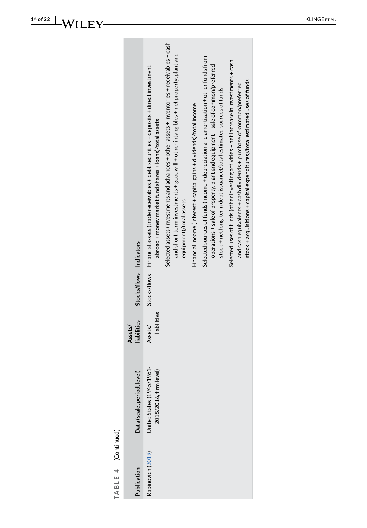| Selected assets (investments and advances + other assets + inventories + receivables + cash<br>and short-term investments + goodwill + other intangibles + net property, plant and<br>Selected sources of funds (income + depreciation and amortization + other funds from<br>Selected uses of funds (other investing activities + net increase in investments + cash<br>operations + sale of property, plant and equipment + sale of common/preferred<br>Stocks/flows Financial assets (trade receivables + debt securities + deposits + direct investment<br>stock + acquisitions + capital expenditures)/total estimated uses of funds<br>and cash equivalents + cash dividends + purchase of common/preferred<br>stock + net long-term debt issuance)/total estimated sources of funds<br>Financial income (interest + capital gains + dividends)/total income<br>abroad + money market fund shares + loans)/total assets<br>equipment)/total assets<br>Stocks/flows Indicators<br>liabilities<br>liabilities<br>Assets/<br>Assets/<br>United States (1945/1961-<br>2015/2016, firm level)<br>Data (scale, period, level)<br>TABLE 4 (Continued) |
|------------------------------------------------------------------------------------------------------------------------------------------------------------------------------------------------------------------------------------------------------------------------------------------------------------------------------------------------------------------------------------------------------------------------------------------------------------------------------------------------------------------------------------------------------------------------------------------------------------------------------------------------------------------------------------------------------------------------------------------------------------------------------------------------------------------------------------------------------------------------------------------------------------------------------------------------------------------------------------------------------------------------------------------------------------------------------------------------------------------------------------------------------|
|------------------------------------------------------------------------------------------------------------------------------------------------------------------------------------------------------------------------------------------------------------------------------------------------------------------------------------------------------------------------------------------------------------------------------------------------------------------------------------------------------------------------------------------------------------------------------------------------------------------------------------------------------------------------------------------------------------------------------------------------------------------------------------------------------------------------------------------------------------------------------------------------------------------------------------------------------------------------------------------------------------------------------------------------------------------------------------------------------------------------------------------------------|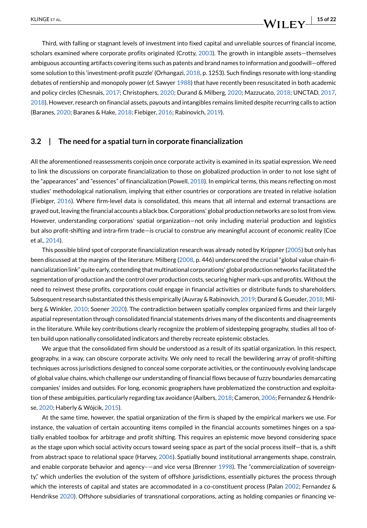### KLINGE ET AL.  $\blacksquare$

Third, with falling or stagnant levels of investment into fixed capital and unreliable sources of financial income, scholars examined where corporate profits originated (Crotty, [2003\)](#page-18-16). The growth in intangible assets—themselves ambiguous accounting artifacts covering items such as patents and brand names to information and goodwill—offered some solution to this 'investment-profit puzzle' (Orhangazi, [2018](#page-20-18), p. 1253). Such findings resonate with long-standing debates of rentiership and monopoly power (cf. Sawyer [1988](#page-20-19)) that have recently been resuscitated in both academic and policy circles (Chesnais, [2017](#page-18-3); Christophers, [2020](#page-18-27); Durand & Milberg, [2020](#page-18-28); Mazzucato, [2018;](#page-19-26) UNCTAD, [2017](#page-20-20), [2018](#page-20-21)). However, research on financial assets, payouts and intangibles remains limited despite recurring calls to action (Baranes, [2020](#page-17-11); Baranes & Hake, [2018;](#page-17-12) Fiebiger, [2016;](#page-19-15) Rabinovich, [2019\)](#page-20-16).

#### **3.2 | The need for a spatial turn in corporate financialization**

All the aforementioned reassessments conjoin once corporate activity is examined in its spatial expression. We need to link the discussions on corporate financialization to those on globalized production in order to not lose sight of the "appearances" and "essences" of financialization (Powell, [2018\)](#page-20-22). In empirical terms, this means reflecting on most studies' methodological nationalism, implying that either countries or corporations are treated in relative isolation (Fiebiger, [2016](#page-19-15)). Where firm-level data is consolidated, this means that all internal and external transactions are grayed out, leaving the financial accounts a black box. Corporations' global production networks are so lost from view. However, understanding corporations' spatial organization—not only including material production and logistics but also profit-shifting and intra-firm trade—is crucial to construe any meaningful account of economic reality (Coe et al., [2014\)](#page-18-29).

This possible blind spot of corporate financialization research was already noted by Krippner ([2005](#page-19-4)) but only has been discussed at the margins of the literature. Milberg ([2008](#page-19-25), p. 446) underscored the crucial "global value chain-financialization link" quite early, contending that multinational corporations' global production networks facilitated the segmentation of production and the control over production costs, securing higher mark-ups and profits. Without the need to reinvest these profits, corporations could engage in financial activities or distribute funds to shareholders. Subsequent research substantiated this thesis empirically (Auvray & Rabinovich, [2019;](#page-17-13) Durand & Gueuder, [2018;](#page-18-26) Milberg & Winkler, [2010;](#page-20-17) Soener [2020](#page-20-6)). The contradiction between spatially complex organized firms and their largely aspatial representation through consolidated financial statements drives many of the discontents and disagreements in the literature. While key contributions clearly recognize the problem of sidestepping geography, studies all too often build upon nationally consolidated indicators and thereby recreate epistemic obstacles.

We argue that the consolidated firm should be understood as a result of its spatial organization. In this respect, geography, in a way, can obscure corporate activity. We only need to recall the bewildering array of profit-shifting techniques across jurisdictions designed to conceal some corporate activities, or the continuously evolving landscape of global value chains, which challenge our understanding of financial flows because of fuzzy boundaries demarcating companies' insides and outsides. For long, economic geographers have problematized the construction and exploitation of these ambiguities, particularly regarding tax avoidance (Aalbers, [2018](#page-17-14); Cameron, [2006;](#page-18-30) Fernandez & Hendrikse, [2020](#page-19-27); Haberly & Wójcik, [2015\)](#page-19-28).

At the same time, however, the spatial organization of the firm is shaped by the empirical markers we use. For instance, the valuation of certain accounting items compiled in the financial accounts sometimes hinges on a spatially enabled toolbox for arbitrage and profit shifting. This requires an epistemic move beyond considering space as the stage upon which social activity occurs toward seeing space as part of the social process itself—that is, a shift from abstract space to relational space (Harvey, [2006](#page-19-29)). Spatially bound institutional arrangements shape, constrain, and enable corporate behavior and agency–—and vice versa (Brenner [1998\)](#page-18-31). The "commercialization of sovereignty," which underlies the evolution of the system of offshore jurisdictions, essentially pictures the process through which the interests of capital and states are accommodated in a co-constituent process (Palan [2002;](#page-20-23) Fernandez & Hendrikse [2020\)](#page-19-27). Offshore subsidiaries of transnational corporations, acting as holding companies or financing ve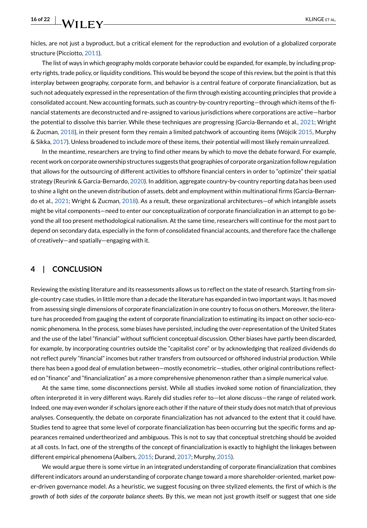hicles, are not just a byproduct, but a critical element for the reproduction and evolution of a globalized corporate structure (Picciotto, [2011](#page-20-24)).

The list of ways in which geography molds corporate behavior could be expanded, for example, by including property rights, trade policy, or liquidity conditions. This would be beyond the scope of this review, but the point is that this interplay between geography, corporate form, and behavior is a central feature of corporate financialization, but as such not adequately expressed in the representation of the firm through existing accounting principles that provide a consolidated account. New accounting formats, such as country-by-country reporting—through which items of the financial statements are deconstructed and re-assigned to various jurisdictions where corporations are active—harbor the potential to dissolve this barrier. While these techniques are progressing (Garcia-Bernando et al., [2021](#page-19-30); Wright & Zucman, [2018](#page-21-2)), in their present form they remain a limited patchwork of accounting items (Wójcik [2015,](#page-21-3) Murphy & Sikka, [2017](#page-20-25)). Unless broadened to include more of these items, their potential will most likely remain unrealized.

In the meantime, researchers are trying to find other means by which to move the debate forward. For example, recent work on corporate ownership structures suggests that geographies of corporate organization follow regulation that allows for the outsourcing of different activities to offshore financial centers in order to "optimize" their spatial strategy (Reurink & Garcia-Bernardo, [2020\)](#page-20-26). In addition, aggregate country-by-country reporting data has been used to shine a light on the uneven distribution of assets, debt and employment within multinational firms (Garcia-Bernando et al., [2021;](#page-19-30) Wright & Zucman, [2018\)](#page-21-2). As a result, these organizational architectures—of which intangible assets might be vital components—need to enter our conceptualization of corporate financialization in an attempt to go beyond the all too present methodological nationalism. At the same time, researchers will continue for the most part to depend on secondary data, especially in the form of consolidated financial accounts, and therefore face the challenge of creatively—and spatially—engaging with it.

#### <span id="page-15-0"></span>**4 | CONCLUSION**

Reviewing the existing literature and its reassessments allows us to reflect on the state of research. Starting from single-country case studies, in little more than a decade the literature has expanded in two important ways. It has moved from assessing single dimensions of corporate financialization in one country to focus on others. Moreover, the literature has proceeded from gauging the extent of corporate financialization to estimating its impact on other socio-economic phenomena. In the process, some biases have persisted, including the over-representation of the United States and the use of the label "financial" without sufficient conceptual discussion. Other biases have partly been discarded, for example, by incorporating countries outside the "capitalist core" or by acknowledging that realized dividends do not reflect purely "financial" incomes but rather transfers from outsourced or offshored industrial production. While there has been a good deal of emulation between—mostly econometric—studies, other original contributions reflected on "finance" and "financialization" as a more comprehensive phenomenon rather than a simple numerical value.

At the same time, some disconnections persist. While all studies invoked some notion of financialization, they often interpreted it in very different ways. Rarely did studies refer to—let alone discuss—the range of related work. Indeed, one may even wonder if scholars ignore each other if the nature of their study does not match that of previous analyses. Consequently, the debate on corporate financialization has not advanced to the extent that it could have. Studies tend to agree that some level of corporate financialization has been occurring but the specific forms and appearances remained undertheorized and ambiguous. This is not to say that conceptual stretching should be avoided at all costs. In fact, one of the strengths of the concept of financialization is exactly to highlight the linkages between different empirical phenomena (Aalbers, [2015;](#page-17-15) Durand, [2017;](#page-18-2) Murphy, [2015](#page-20-27)).

We would argue there is some virtue in an integrated understanding of corporate financialization that combines different indicators around an understanding of corporate change toward a more shareholder-oriented, market power-driven governance model. As a heuristic, we suggest focusing on three stylized elements, the first of which is *the growth of both sides of the corporate balance sheet*s. By this, we mean not just growth itself or suggest that one side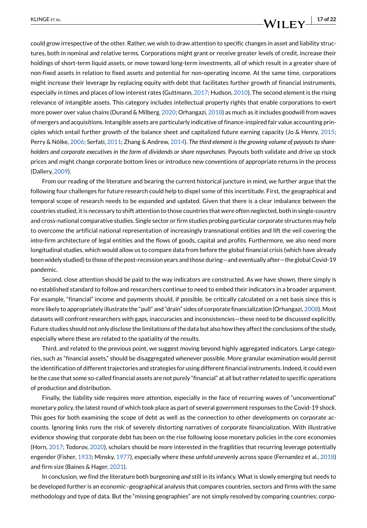### KLINGE ET AL. **17 of 22**

could grow irrespective of the other. Rather, we wish to draw attention to specific changes in asset and liability structures, both in nominal and relative terms. Corporations might grant or receive greater levels of credit, increase their holdings of short-term liquid assets, or move toward long-term investments, all of which result in a greater share of non-fixed assets in relation to fixed assets and potential for non-operating income. At the same time, corporations might increase their leverage by replacing equity with debt that facilitates further growth of financial instruments, especially in times and places of low interest rates (Guttmann, [2017;](#page-19-22) Hudson, [2010](#page-19-31)). The second element is the rising relevance of intangible assets. This category includes intellectual property rights that enable corporations to exert more power over value chains (Durand & Milberg, [2020](#page-18-28); Orhangazi, [2018\)](#page-20-18) as much as it includes goodwill from waves of mergers and acquisitions. Intangible assets are particularly indicative of finance-inspired fair value accounting principles which entail further growth of the balance sheet and capitalized future earning capacity (Jo & Henry, [2015](#page-19-32); Perry & Nölke, [2006](#page-20-28); Serfati, [2011](#page-20-29); Zhang & Andrew, [2014\)](#page-21-4). *The third element is the growing volume of payouts to shareholders and corporate executives in the form of dividends or share repurchases*. Payouts both validate and drive up stock prices and might change corporate bottom lines or introduce new conventions of appropriate returns in the process (Dallery, [2009\)](#page-18-32).

From our reading of the literature and bearing the current historical juncture in mind, we further argue that the following four challenges for future research could help to dispel some of this incertitude. First, the geographical and temporal scope of research needs to be expanded and updated. Given that there is a clear imbalance between the countries studied, it is necessary to shift attention to those countries that were often neglected, both in single-country and cross-national comparative studies. Single sector or firm studies probing particular corporate structures may help to overcome the artificial national representation of increasingly transnational entities and lift the veil covering the *intra*-firm architecture of legal entities and the flows of goods, capital and profits. Furthermore, we also need more longitudinal studies, which would allow us to compare data from before the global financial crisis (which have already been widely studied) to those of the post-recession years and those during—and eventually after—the global Covid-19 pandemic.

Second, close attention should be paid to the way indicators are constructed. As we have shown, there simply is no established standard to follow and researchers continue to need to embed their indicators in a broader argument. For example, "financial" income and payments should, if possible, be critically calculated on a net basis since this is more likely to appropriately illustrate the "pull" and "drain" sides of corporate financialization (Orhangazi, [2008\)](#page-20-2). Most datasets will confront researchers with gaps, inaccuracies and inconsistencies—these need to be discussed explicitly. Future studies should not only disclose the limitations of the data but also how they affect the conclusions of the study, especially where these are related to the spatiality of the results.

Third, and related to the previous point, we suggest moving beyond highly aggregated indicators. Large categories, such as "financial assets," should be disaggregated whenever possible. More granular examination would permit the identification of different trajectories and strategies for using different financial instruments. Indeed, it could even be the case that some so-called financial assets are not purely "financial" at all but rather related to specific operations of production and distribution.

Finally, the liability side requires more attention, especially in the face of recurring waves of "unconventional" monetary policy, the latest round of which took place as part of several government responses to the Covid-19 shock. This goes for both examining the scope of debt as well as the connection to other developments on corporate accounts. Ignoring links runs the risk of severely distorting narratives of corporate financialization. With illustrative evidence showing that corporate debt has been on the rise following loose monetary policies in the core economies (Horn, [2017](#page-19-33); Todorov, [2020](#page-20-30)), scholars should be more interested in the fragilities that recurring leverage potentially engender (Fisher, [1933](#page-19-34); Minsky, [1977\)](#page-20-31), especially where these unfold unevenly across space (Fernandez et al., [2018\)](#page-18-33) and firm size (Baines & Hager, [2021](#page-17-5)).

In conclusion, we find the literature both burgeoning *and* still in its infancy. What is slowly emerging but needs to be developed further is an economic–geographical analysis that compares countries, sectors and firms with the same methodology and type of data. But the "missing geographies" are not simply resolved by comparing countries; corpo-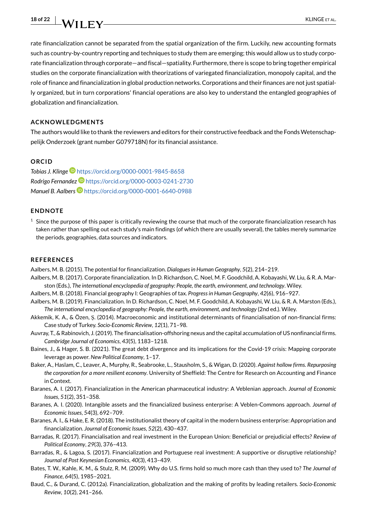

rate financialization cannot be separated from the spatial organization of the firm. Luckily, new accounting formats such as country-by-country reporting and techniques to study them are emerging; this would allow us to study corporate financialization through corporate—and fiscal—spatiality. Furthermore, there is scope to bring together empirical studies on the corporate financialization with theorizations of variegated financialization, monopoly capital, and the role of finance and financialization in global production networks. Corporations and their finances are not just spatially organized, but in turn corporations' financial operations are also key to understand the entangled geographies of globalization and financialization.

#### **ACKNOWLEDGMENTS**

The authors would like to thank the reviewers and editors for their constructive feedback and the Fonds Wetenschappelijk Onderzoek (grant number G079718N) for its financial assistance.

#### **ORCID**

*Tobias J. Klinge* <https://orcid.org/0000-0001-9845-8658> *Rodrigo Fernandez* <https://orcid.org/0000-0003-0241-2730> *Manuel B. Aalbers* <https://orcid.org/0000-0001-6640-0988>

#### **ENDNOTE**

<span id="page-17-3"></span> $<sup>1</sup>$  Since the purpose of this paper is critically reviewing the course that much of the corporate financialization research has</sup> taken rather than spelling out each study's main findings (of which there are usually several), the tables merely summarize the periods, geographies, data sources and indicators.

#### **REFERENCES**

- <span id="page-17-15"></span>Aalbers, M. B. (2015). The potential for financialization. *Dialogues in Human Geography*, *5*(2), 214–219.
- <span id="page-17-0"></span>Aalbers, M. B. (2017). Corporate financialization. In D. Richardson, C. Noel, M. F. Goodchild, A. Kobayashi, W. Liu, & R. A. Marston (Eds.), *The international encyclopedia of geography: People, the earth, environment, and technology*. Wiley.
- <span id="page-17-14"></span>Aalbers, M. B. (2018). Financial geography I: Geographies of tax. *Progress in Human Geography*, *42*(6), 916–927.
- <span id="page-17-1"></span>Aalbers, M. B. (2019). Financialization. In D. Richardson, C. Noel, M. F. Goodchild, A. Kobayashi, W. Liu, & R. A. Marston (Eds.), *The international encyclopedia of geography: People, the earth, environment, and technology* (2nd ed.). Wiley.
- <span id="page-17-9"></span>Akkemik, K. A., & Özen, Ş. (2014). Macroeconomic and institutional determinants of financialisation of non-financial firms: Case study of Turkey. *Socio-Economic Review*, *12*(1), 71–98.
- <span id="page-17-13"></span>Auvray, T., & Rabinovich, J. (2019). The financialisation-offshoring nexus and the capital accumulation of US nonfinancial firms. *Cambridge Journal of Economics*, *43*(5), 1183–1218.
- <span id="page-17-5"></span>Baines, J., & Hager, S. B. (2021). The great debt divergence and its implications for the Covid-19 crisis: Mapping corporate leverage as power. *New Political Economy*, 1–17.
- <span id="page-17-2"></span>Baker, A., Haslam, C., Leaver, A., Murphy, R., Seabrooke, L., Stausholm, S., & Wigan, D. (2020). *Against hollow firms. Repurposing the corporation for a more resilient economy*. University of Sheffield: The Centre for Research on Accounting and Finance in Context.
- <span id="page-17-6"></span>Baranes, A. I. (2017). Financialization in the American pharmaceutical industry: A Veblenian approach. *Journal of Economic Issues*, *51*(2), 351–358.
- <span id="page-17-11"></span>Baranes, A. I. (2020). Intangible assets and the financialized business enterprise: A Veblen-Commons approach. *Journal of Economic Issues*, *54*(3), 692–709.
- <span id="page-17-12"></span>Baranes, A. I., & Hake, E. R. (2018). The institutionalist theory of capital in the modern business enterprise: Appropriation and financialization. *Journal of Economic Issues*, *52*(2), 430–437.
- <span id="page-17-10"></span>Barradas, R. (2017). Financialisation and real investment in the European Union: Beneficial or prejudicial effects? *Review of Political Economy*, *29*(3), 376–413.
- <span id="page-17-8"></span>Barradas, R., & Lagoa, S. (2017). Financialization and Portuguese real investment: A supportive or disruptive relationship? *Journal of Post Keynesian Economics*, *40*(3), 413–439.
- <span id="page-17-4"></span>Bates, T. W., Kahle, K. M., & Stulz, R. M. (2009). Why do U.S. firms hold so much more cash than they used to? *The Journal of Finance*, *64*(5), 1985–2021.
- <span id="page-17-7"></span>Baud, C., & Durand, C. (2012a). Financialization, globalization and the making of profits by leading retailers. *Socio-Economic Review*, *10*(2), 241–266.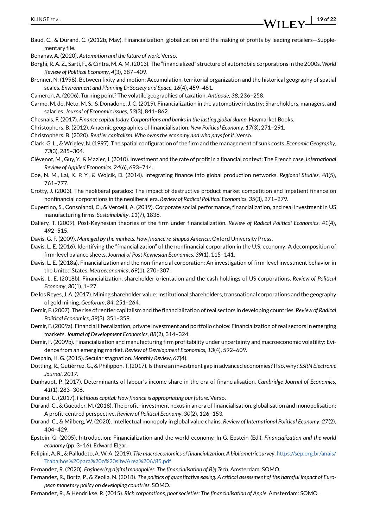<span id="page-18-15"></span>Baud, C., & Durand, C. (2012b, May). Financialization, globalization and the making of profits by leading retailers—Supplementary file.

<span id="page-18-24"></span>Benanav, A. (2020). *Automation and the future of work*. Verso.

<span id="page-18-10"></span>Borghi, R. A. Z., Sarti, F., & Cintra, M. A. M. (2013). The "financialized" structure of automobile corporations in the 2000s. *World Review of Political Economy*, *4*(3), 387–409.

<span id="page-18-31"></span>Brenner, N. (1998). Between fixity and motion: Accumulation, territorial organization and the historical geography of spatial scales. *Environment and Planning D: Society and Space*, *16*(4), 459–481.

<span id="page-18-30"></span>Cameron, A. (2006). Turning point? The volatile geographies of taxation. *Antipode*, *38*, 236–258.

- <span id="page-18-11"></span>Carmo, M. do, Neto, M. S., & Donadone, J. C. (2019). Financialization in the automotive industry: Shareholders, managers, and salaries. *Journal of Economic Issues*, *53*(3), 841–862.
- <span id="page-18-3"></span>Chesnais, F. (2017). *Finance capital today. Corporations and banks in the lasting global slump*. Haymarket Books.
- <span id="page-18-5"></span>Christophers, B. (2012). Anaemic geographies of financialisation. *New Political Economy*, *17*(3), 271–291.
- <span id="page-18-27"></span>Christophers, B. (2020). *Rentier capitalism. Who owns the economy and who pays for it*. Verso.
- <span id="page-18-4"></span>Clark, G. L., & Wrigley, N. (1997). The spatial configuration of the firm and the management of sunk costs. *Economic Geography*, *73*(3), 285–304.
- <span id="page-18-21"></span>Clévenot, M., Guy, Y., & Mazier, J. (2010). Investment and the rate of profit in a financial context: The French case. *International Review of Applied Economics*, *24*(6), 693–714.
- <span id="page-18-29"></span>Coe, N. M., Lai, K. P. Y., & Wójcik, D. (2014). Integrating finance into global production networks. *Regional Studies*, *48*(5), 761–777.
- <span id="page-18-16"></span>Crotty, J. (2003). The neoliberal paradox: The impact of destructive product market competition and impatient finance on nonfinancial corporations in the neoliberal era. *Review of Radical Political Economics*, *35*(3), 271–279.
- <span id="page-18-23"></span>Cupertino, S., Consolandi, C., & Vercelli, A. (2019). Corporate social performance, financialization, and real investment in US manufacturing firms. *Sustainability*, *11*(7), 1836.
- <span id="page-18-32"></span>Dallery, T. (2009). Post-Keynesian theories of the firm under financialization. *Review of Radical Political Economics*, *41*(4), 492–515.

<span id="page-18-1"></span>Davis, G. F. (2009). *Managed by the markets. How finance re-shaped America*. Oxford University Press.

- <span id="page-18-7"></span>Davis, L. E. (2016). Identifying the "financialization" of the nonfinancial corporation in the U.S. economy: A decomposition of firm-level balance sheets. *Journal of Post Keynesian Economics*, *39*(1), 115–141.
- <span id="page-18-8"></span>Davis, L. E. (2018a). Financialization and the non-financial corporation: An investigation of firm-level investment behavior in the United States. *Metroeconomica*, *69*(1), 270–307.
- <span id="page-18-9"></span>Davis, L. E. (2018b). Financialization, shareholder orientation and the cash holdings of US corporations. *Review of Political Economy*, *30*(1), 1–27.
- <span id="page-18-12"></span>De los Reyes, J. A. (2017). Mining shareholder value: Institutional shareholders, transnational corporations and the geography of gold mining. *Geoforum*, *84*, 251–264.
- <span id="page-18-18"></span>Demir, F. (2007). The rise of rentier capitalism and the financialization of real sectors in developing countries. *Review of Radical Political Economics*, *39*(3), 351–359.
- <span id="page-18-19"></span>Demir, F. (2009a). Financial liberalization, private investment and portfolio choice: Financialization of real sectors in emerging markets. *Journal of Development Economics*, *88*(2), 314–324.
- <span id="page-18-20"></span>Demir, F. (2009b). Financialization and manufacturing firm profitability under uncertainty and macroeconomic volatility: Evidence from an emerging market. *Review of Development Economics*, *13*(4), 592–609.
- <span id="page-18-25"></span>Despain, H. G. (2015). Secular stagnation. *Monthly Review*, *67*(4).
- <span id="page-18-17"></span>Döttling, R., Gutiérrez, G., & Philippon, T. (2017). Is there an investment gap in advanced economies? If so, why? *SSRN Electronic Journal*, *2017*.
- <span id="page-18-22"></span>Dünhaupt, P. (2017). Determinants of labour's income share in the era of financialisation. *Cambridge Journal of Economics*, *41*(1), 283–306.
- <span id="page-18-2"></span>Durand, C. (2017). *Fictitious capital: How finance is appropriating our future*. Verso.
- <span id="page-18-26"></span>Durand, C., & Gueuder, M. (2018). The profit–investment nexus in an era of financialisation, globalisation and monopolisation: A profit-centred perspective. *Review of Political Economy*, *30*(2), 126–153.
- <span id="page-18-28"></span>Durand, C., & Milberg, W. (2020). Intellectual monopoly in global value chains. *Review of International Political Economy*, *27*(2), 404–429.
- <span id="page-18-0"></span>Epstein, G. (2005). Introduction: Financialization and the world economy. In G. Epstein (Ed.), *Financialization and the world economy* (pp. 3–16). Edward Elgar.
- <span id="page-18-6"></span>Felipini, A. R., & Palludeto, A. W. A. (2019). *The macroeconomics of financialization: A bibliometric survey*. [https://sep.org.br/anais/](https://sep.org.br/anais/Trabalhos%2520para%2520o%2520site/Area%25206/85.pdf) [Trabalhos%20para%20o%20site/Area%206/85.pdf](https://sep.org.br/anais/Trabalhos%2520para%2520o%2520site/Area%25206/85.pdf)
- <span id="page-18-14"></span>Fernandez, R. (2020). *Engineering digital monopolies. The financialisation of Big Tech*. Amsterdam: SOMO.
- <span id="page-18-33"></span>Fernandez, R., Bortz, P., & Zeolla, N. (2018). *The politics of quantitative easing. A critical assessment of the harmful impact of European monetary policy on developing countries*. SOMO.
- <span id="page-18-13"></span>Fernandez, R., & Hendrikse, R. (2015). *Rich corporations, poor societies: The financialisation of Apple*. Amsterdam: SOMO.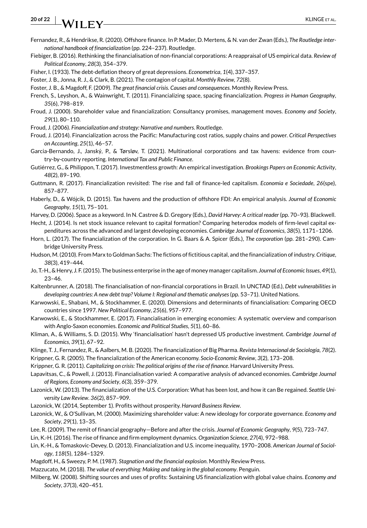### **20 of 22 WII FY** KLINGE ET AL.

- <span id="page-19-27"></span>Fernandez, R., & Hendrikse, R. (2020). Offshore finance. In P. Mader, D. Mertens, & N. van der Zwan (Eds.), *The Routledge international handbook of financialization* (pp. 224–237). Routledge.
- <span id="page-19-15"></span>Fiebiger, B. (2016). Rethinking the financialisation of non-financial corporations: A reappraisal of US empirical data. *Review of Political Economy*, *28*(3), 354–379.
- <span id="page-19-34"></span>Fisher, I. (1933). The debt-deflation theory of great depressions. *Econometrica*, *1*(4), 337–357.
- <span id="page-19-21"></span>Foster, J. B., Jonna, R. J., & Clark, B. (2021). The contagion of capital. *Monthly Review*, *72*(8).
- <span id="page-19-23"></span>Foster, J. B., & Magdoff, F. (2009). *The great financial crisis. Causes and consequences*. Monthly Review Press.
- <span id="page-19-2"></span>French, S., Leyshon, A., & Wainwright, T. (2011). Financializing space, spacing financialization. *Progress in Human Geography*, *35*(6), 798–819.
- <span id="page-19-1"></span>Froud, J. (2000). Shareholder value and financialization: Consultancy promises, management moves. *Economy and Society*, *29*(1), 80–110.
- <span id="page-19-3"></span>Froud, J. (2006). *Financialization and strategy: Narrative and numbers*. Routledge.
- <span id="page-19-14"></span>Froud, J. (2014). Financialization across the Pacific: Manufacturing cost ratios, supply chains and power. *Critical Perspectives on Accounting*, *25*(1), 46–57.
- <span id="page-19-30"></span>Garcia-Bernando, J., Janský, P., & Tørsløv, T. (2021). Multinational corporations and tax havens: evidence from country-by-country reporting. *International Tax and Public Finance*.
- <span id="page-19-16"></span>Gutiérrez, G., & Philippon, T. (2017). Investmentless growth: An empirical investigation. *Brookings Papers on Economic Activity*, *48*(2), 89–190.
- <span id="page-19-22"></span>Guttmann, R. (2017). Financialization revisited: The rise and fall of finance-led capitalism. *Economia e Sociedade*, *26*(spe), 857–877.
- <span id="page-19-28"></span>Haberly, D., & Wójcik, D. (2015). Tax havens and the production of offshore FDI: An empirical analysis. *Journal of Economic Geography*, *15*(1), 75–101.
- <span id="page-19-29"></span>Harvey, D. (2006). Space as a keyword. In N. Castree & D. Gregory (Eds.), *David Harvey: A critical reader* (pp. 70–93). Blackwell.
- <span id="page-19-19"></span>Hecht, J. (2014). Is net stock issuance relevant to capital formation? Comparing heterodox models of firm-level capital expenditures across the advanced and largest developing economies. *Cambridge Journal of Economics*, *38*(5), 1171–1206.
- <span id="page-19-33"></span>Horn, L. (2017). The financialization of the corporation. In G. Baars & A. Spicer (Eds.), *The corporation* (pp. 281–290). Cambridge University Press.
- <span id="page-19-31"></span>Hudson, M. (2010). From Marx to Goldman Sachs: The fictions of fictitious capital, and the financialization of industry. *Critique*, *38*(3), 419–444.
- <span id="page-19-32"></span>Jo, T.-H., & Henry, J. F. (2015). The business enterprise in the age of money manager capitalism. *Journal of Economic Issues*, *49*(1), 23–46.
- <span id="page-19-9"></span>Kaltenbrunner, A. (2018). The financialisation of non-financial corporations in Brazil. In UNCTAD (Ed.), *Debt vulnerabilities in developing countries: A new debt trap? Volume I: Regional and thematic analyses* (pp. 53–71). United Nations.
- <span id="page-19-10"></span>Karwowski, E., Shabani, M., & Stockhammer, E. (2020). Dimensions and determinants of financialisation: Comparing OECD countries since 1997. *New Political Economy*, *25*(6), 957–977.
- <span id="page-19-12"></span>Karwowski, E., & Stockhammer, E. (2017). Financialisation in emerging economies: A systematic overview and comparison with Anglo-Saxon economies. *Economic and Political Studies*, *5*(1), 60–86.
- <span id="page-19-20"></span>Kliman, A., & Williams, S. D. (2015). Why 'financialisation' hasn't depressed US productive investment. *Cambridge Journal of Economics*, *39*(1), 67–92.
- <span id="page-19-13"></span><span id="page-19-4"></span>Klinge, T. J., Fernandez, R., & Aalbers, M. B. (2020). The financialization of Big Pharma. *Revista Internacional de Sociología*, *78*(2). Krippner, G. R. (2005). The financialization of the American economy. *Socio-Economic Review*, *3*(2), 173–208.
- <span id="page-19-5"></span>Krippner, G. R. (2011). *Capitalizing on crisis: The political origins of the rise of finance*. Harvard University Press.
- <span id="page-19-7"></span>Lapavitsas, C., & Powell, J. (2013). Financialisation varied: A comparative analysis of advanced economies. *Cambridge Journal of Regions, Economy and Society*, *6*(3), 359–379.
- <span id="page-19-8"></span>Lazonick, W. (2013). The financialization of the U.S. Corporation: What has been lost, and how it can Be regained. *Seattle University Law Review*. *36*(2), 857–909.
- <span id="page-19-11"></span>Lazonick, W. (2014, September 1). Profits without prosperity. *Harvard Business Review*.
- <span id="page-19-6"></span>Lazonick, W., & O'Sullivan, M. (2000). Maximizing shareholder value: A new ideology for corporate governance. *Economy and Society*, *29*(1), 13–35.
- <span id="page-19-0"></span>Lee, R. (2009). The remit of financial geography—Before and after the crisis. *Journal of Economic Geography*, *9*(5), 723–747.
- <span id="page-19-18"></span>Lin, K.-H. (2016). The rise of finance and firm employment dynamics. *Organization Science*, *27*(4), 972–988.
- <span id="page-19-17"></span>Lin, K.-H., & Tomaskovic-Devey, D. (2013). Financialization and U.S. income inequality, 1970–2008. *American Journal of Sociology*, *118*(5), 1284–1329.
- <span id="page-19-24"></span>Magdoff, H., & Sweezy, P. M. (1987). *Stagnation and the financial explosion*. Monthly Review Press.
- <span id="page-19-26"></span>Mazzucato, M. (2018). *The value of everything: Making and taking in the global economy*. Penguin.
- <span id="page-19-25"></span>Milberg, W. (2008). Shifting sources and uses of profits: Sustaining US financialization with global value chains. *Economy and Society*, *37*(3), 420–451.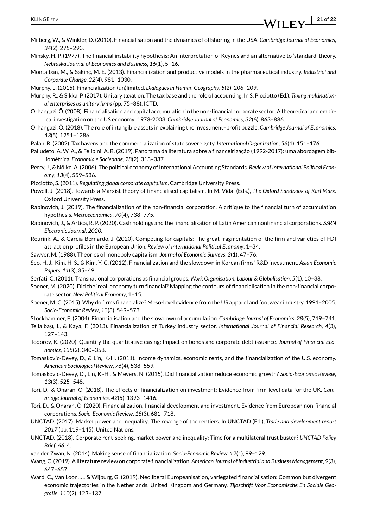- <span id="page-20-17"></span>Milberg, W., & Winkler, D. (2010). Financialisation and the dynamics of offshoring in the USA. *Cambridge Journal of Economics*, *34*(2), 275–293.
- <span id="page-20-31"></span>Minsky, H. P. (1977). The financial instability hypothesis: An interpretation of Keynes and an alternative to 'standard' theory. *Nebraska Journal of Economics and Business*, *16*(1), 5–16.
- <span id="page-20-7"></span>Montalban, M., & Sakinç, M. E. (2013). Financialization and productive models in the pharmaceutical industry. *Industrial and Corporate Change*, *22*(4), 981–1030.

<span id="page-20-27"></span>Murphy, L. (2015). Financialization (un)limited. *Dialogues in Human Geography*, *5*(2), 206–209.

<span id="page-20-25"></span>Murphy, R., & Sikka, P. (2017). Unitary taxation: The tax base and the role of accounting. In S. Picciotto (Ed.), *Taxing multinational enterprises as unitary firms* (pp. 75–88). ICTD.

<span id="page-20-2"></span>Orhangazi, Ö. (2008). Financialisation and capital accumulation in the non-financial corporate sector: A theoretical and empirical investigation on the US economy: 1973-2003. *Cambridge Journal of Economics*, *32*(6), 863–886.

<span id="page-20-18"></span>Orhangazi, Ö. (2018). The role of intangible assets in explaining the investment–profit puzzle. *Cambridge Journal of Economics*, *43*(5), 1251–1286.

- <span id="page-20-23"></span>Palan, R. (2002). Tax havens and the commercialization of state sovereignty. *International Organization*, *56*(1), 151–176.
- <span id="page-20-3"></span>Palludeto, A. W. A., & Felipini, A. R. (2019). Panorama da literatura sobre a financeirização (1992-2017): uma abordagem bibliométrica. *Economia e Sociedade*, *28*(2), 313–337.
- <span id="page-20-28"></span>Perry, J., & Nölke, A. (2006). The political economy of International Accounting Standards. *Review of International Political Economy*, *13*(4), 559–586.

<span id="page-20-24"></span>Picciotto, S. (2011). *Regulating global corporate capitalism*. Cambridge University Press.

- <span id="page-20-22"></span>Powell, J. (2018). Towards a Marxist theory of financialised capitalism. In M. Vidal (Eds.), *The Oxford handbook of Karl Marx*. Oxford University Press.
- <span id="page-20-16"></span>Rabinovich, J. (2019). The financialization of the non-financial corporation. A critique to the financial turn of accumulation hypothesis. *Metroeconomica*, *70*(4), 738–775.
- <span id="page-20-5"></span>Rabinovich, J., & Artica, R. P. (2020). Cash holdings and the financialisation of Latin American nonfinancial corporations. *SSRN Electronic Journal*. *2020*.
- <span id="page-20-26"></span>Reurink, A., & Garcia-Bernardo, J. (2020). Competing for capitals: The great fragmentation of the firm and varieties of FDI attraction profiles in the European Union. *Review of International Political Economy*, 1–34.

<span id="page-20-19"></span>Sawyer, M. (1988). Theories of monopoly capitalism. *Journal of Economic Surveys*, *2*(1), 47–76.

- <span id="page-20-11"></span>Seo, H. J., Kim, H. S., & Kim, Y. C. (2012). Financialization and the slowdown in Korean firms' R&D investment. *Asian Economic Papers*, *11*(3), 35–49.
- <span id="page-20-29"></span>Serfati, C. (2011). Transnational corporations as financial groups. *Work Organisation, Labour & Globalisation*, *5*(1), 10–38.
- <span id="page-20-6"></span>Soener, M. (2020). Did the 'real' economy turn financial? Mapping the contours of financialisation in the non-financial corporate sector. *New Political Economy*, 1–15.
- <span id="page-20-8"></span>Soener, M. C. (2015). Why do firms financialize? Meso-level evidence from the US apparel and footwear industry, 1991–2005. *Socio-Economic Review*, *13*(3), 549–573.

<span id="page-20-9"></span>Stockhammer, E. (2004). Financialisation and the slowdown of accumulation. *Cambridge Journal of Economics*, *28*(5), 719–741.

- <span id="page-20-15"></span>Tellalbaşı, I., & Kaya, F. (2013). Financialization of Turkey industry sector. *International Journal of Financial Research*, *4*(3), 127–143.
- <span id="page-20-30"></span>Todorov, K. (2020). Quantify the quantitative easing: Impact on bonds and corporate debt issuance. *Journal of Financial Economics*, *135*(2), 340–358.
- <span id="page-20-10"></span>Tomaskovic-Devey, D., & Lin, K.-H. (2011). Income dynamics, economic rents, and the financialization of the U.S. economy. *American Sociological Review*, *76*(4), 538–559.
- <span id="page-20-12"></span>Tomaskovic-Devey, D., Lin, K.-H., & Meyers, N. (2015). Did financialization reduce economic growth? *Socio-Economic Review*, *13*(3), 525–548.
- <span id="page-20-13"></span>Tori, D., & Onaran, Ö. (2018). The effects of financialization on investment: Evidence from firm-level data for the UK. *Cambridge Journal of Economics*, *42*(5), 1393–1416.
- <span id="page-20-14"></span>Tori, D., & Onaran, Ö. (2020). Financialization, financial development and investment. Evidence from European non-financial corporations. *Socio-Economic Review*, *18*(3), 681–718.
- <span id="page-20-20"></span>UNCTAD. (2017). Market power and inequality: The revenge of the rentiers. In UNCTAD (Ed.), *Trade and development report 2017* (pp. 119–145). United Nations.
- <span id="page-20-21"></span>UNCTAD. (2018). Corporate rent-seeking, market power and inequality: Time for a multilateral trust buster? *UNCTAD Policy Brief*, *66*, 4.
- <span id="page-20-0"></span>van der Zwan, N. (2014). Making sense of financialization. *Socio-Economic Review*, *12*(1), 99–129.
- <span id="page-20-1"></span>Wang, C. (2019). A literature review on corporate financialization. *American Journal of Industrial and Business Management*, *9*(3), 647–657.
- <span id="page-20-4"></span>Ward, C., Van Loon, J., & Wijburg, G. (2019). Neoliberal Europeanisation, variegated financialisation: Common but divergent economic trajectories in the Netherlands, United Kingdom and Germany. *Tijdschrift Voor Economische En Sociale Geografie*, *110*(2), 123–137.